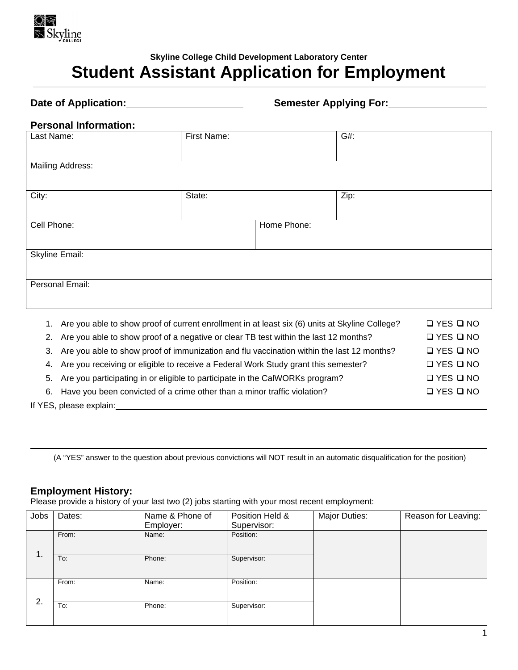

# **Skyline College Child Development Laboratory Center Student Assistant Application for Employment**

Date of Application: <u>**Semester Applying For:** Semester Applying For:</u> 8

## **Personal Information:**

| Last Name:                                                                                                                                                                                                                                                                                            | First Name: |             | G#:  |                                                                            |
|-------------------------------------------------------------------------------------------------------------------------------------------------------------------------------------------------------------------------------------------------------------------------------------------------------|-------------|-------------|------|----------------------------------------------------------------------------|
| <b>Mailing Address:</b>                                                                                                                                                                                                                                                                               |             |             |      |                                                                            |
| City:                                                                                                                                                                                                                                                                                                 | State:      |             | Zip: |                                                                            |
| Cell Phone:                                                                                                                                                                                                                                                                                           |             | Home Phone: |      |                                                                            |
| <b>Skyline Email:</b>                                                                                                                                                                                                                                                                                 |             |             |      |                                                                            |
| Personal Email:                                                                                                                                                                                                                                                                                       |             |             |      |                                                                            |
| Are you able to show proof of current enrollment in at least six (6) units at Skyline College?<br>1.<br>Are you able to show proof of a negative or clear TB test within the last 12 months?<br>2.<br>Are you able to show proof of immunization and flu vaccination within the last 12 months?<br>3. |             |             |      | $\Box$ YES $\Box$ NO<br>$\Box$ YES $\Box$ NO<br>$\square$ YES $\square$ NO |

4. Are you receiving or eligible to receive a Federal Work Study grant this semester?  $\square$  YES  $\square$  NO

5. Are you participating in or eligible to participate in the CalWORKs program?  $\square$  YES  $\square$  NO

6. Have you been convicted of a crime other than a minor traffic violation?  $\square$  YES  $\square$  NO

If YES, please explain:

(A "YES" answer to the question about previous convictions will NOT result in an automatic disqualification for the position)

# **Employment History:**

Please provide a history of your last two (2) jobs starting with your most recent employment:

| Jobs           | Dates: | Name & Phone of | Position Held & | <b>Major Duties:</b> | Reason for Leaving: |
|----------------|--------|-----------------|-----------------|----------------------|---------------------|
|                |        | Employer:       | Supervisor:     |                      |                     |
|                | From:  | Name:           | Position:       |                      |                     |
|                |        |                 |                 |                      |                     |
| $\mathbf{1}$ . | To:    | Phone:          | Supervisor:     |                      |                     |
|                |        |                 |                 |                      |                     |
|                |        |                 |                 |                      |                     |
|                | From:  | Name:           | Position:       |                      |                     |
|                |        |                 |                 |                      |                     |
| 2.             | To:    | Phone:          | Supervisor:     |                      |                     |
|                |        |                 |                 |                      |                     |
|                |        |                 |                 |                      |                     |